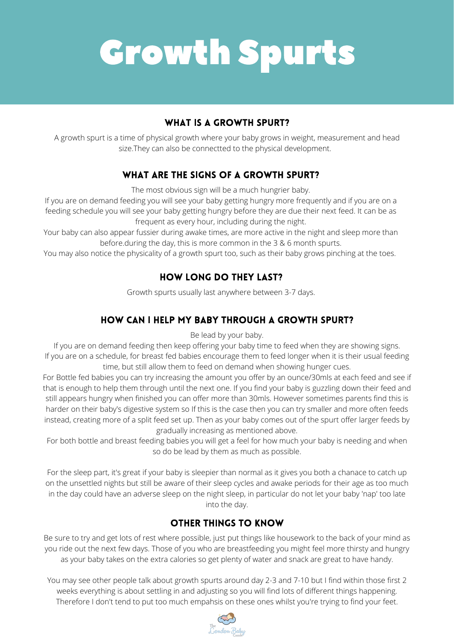## Growth Spurts

#### **WHAT IS A GROWTH SPURT?**

Be lead by your baby.

If you are on demand feeding then keep offering your baby time to feed when they are showing signs. If you are on a schedule, for breast fed babies encourage them to feed longer when it is their usual feeding time, but still allow them to feed on demand when showing hunger cues. For Bottle fed babies you can try increasing the amount you offer by an ounce/30mls at each feed and see if that is enough to help them through until the next one. If you find your baby is guzzling down their feed and still appears hungry when finished you can offer more than 30mls. However sometimes parents find this is harder on their baby's digestive system so If this is the case then you can try smaller and more often feeds instead, creating more of a split feed set up. Then as your baby comes out of the spurt offer larger feeds by gradually increasing as mentioned above.

If you are on demand feeding you will see your baby getting hungry more frequently and if you are on a feeding schedule you will see your baby getting hungry before they are due their next feed. It can be as frequent as every hour, including during the night.

For both bottle and breast feeding babies you will get a feel for how much your baby is needing and when so do be lead by them as much as possible.

For the sleep part, it's great if your baby is sleepier than normal as it gives you both a chanace to catch up on the unsettled nights but still be aware of their sleep cycles and awake periods for their age as too much in the day could have an adverse sleep on the night sleep, in particular do not let your baby 'nap' too late into the day.

#### **OTHER THINGS TO KNOW**

A growth spurt is a time of physical growth where your baby grows in weight, measurement and head size.They can also be connectted to the physical development.

#### WHAT ARE THE SIGNS OF A GROWTH SPURT?

The most obvious sign will be a much hungrier baby.

Your baby can also appear fussier during awake times, are more active in the night and sleep more than before.during the day, this is more common in the 3 & 6 month spurts.

You may also notice the physicality of a growth spurt too, such as their baby grows pinching at the toes.

#### **HOW LONG DO THEY LAST?**

Growth spurts usually last anywhere between 3-7 days.

#### **HOW CAN I HELP MY BABY THROUGH A GROWTH SPURT?**

Be sure to try and get lots of rest where possible, just put things like housework to the back of your mind as you ride out the next few days. Those of you who are breastfeeding you might feel more thirsty and hungry as your baby takes on the extra calories so get plenty of water and snack are great to have handy.

You may see other people talk about growth spurts around day 2-3 and 7-10 but I find within those first 2 weeks everything is about settling in and adjusting so you will find lots of different things happening. Therefore I don't tend to put too much empahsis on these ones whilst you're trying to find your feet.

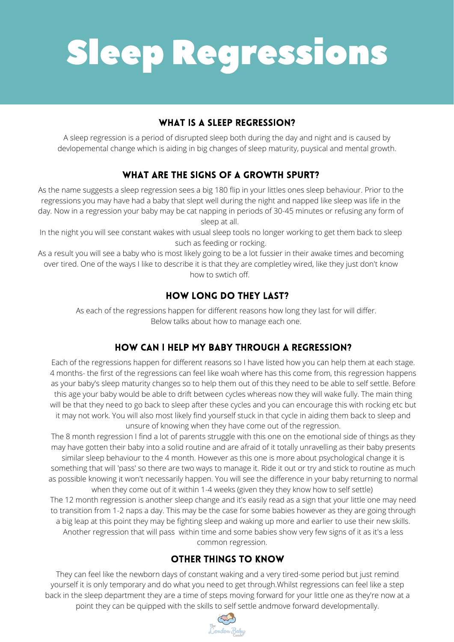# Sleep Regressions

#### **WHAT IS A SLEEP REGRESSION?**

Each of the regressions happen for different reasons so I have listed how you can help them at each stage. 4 months- the first of the regressions can feel like woah where has this come from, this regression happens as your baby's sleep maturity changes so to help them out of this they need to be able to self settle. Before this age your baby would be able to drift between cycles whereas now they will wake fully. The main thing will be that they need to go back to sleep after these cycles and you can encourage this with rocking etc but it may not work. You will also most likely find yourself stuck in that cycle in aiding them back to sleep and unsure of knowing when they have come out of the regression.

The 8 month regression I find a lot of parents struggle with this one on the emotional side of things as they may have gotten their baby into a solid routine and are afraid of it totally unravelling as their baby presents similar sleep behaviour to the 4 month. However as this one is more about psychological change it is something that will 'pass' so there are two ways to manage it. Ride it out or try and stick to routine as much as possible knowing it won't necessarily happen. You will see the difference in your baby returning to normal when they come out of it within 1-4 weeks (given they they know how to self settle) The 12 month regression is another sleep change and it's easily read as a sign that your little one may need to transition from 1-2 naps a day. This may be the case for some babies however as they are going through a big leap at this point they may be fighting sleep and waking up more and earlier to use their new skills. Another regression that will pass within time and some babies show very few signs of it as it's a less common regression.

#### **OTHER THINGS TO KNOW**

In the night you will see constant wakes with usual sleep tools no longer working to get them back to sleep such as feeding or rocking.

A sleep regression is a period of disrupted sleep both during the day and night and is caused by devlopemental change which is aiding in big changes of sleep maturity, puysical and mental growth.

#### WHAT ARE THE SIGNS OF A GROWTH SPURT?

As the name suggests a sleep regression sees a big 180 flip in your littles ones sleep behaviour. Prior to the regressions you may have had a baby that slept well during the night and napped like sleep was life in the day. Now in a regression your baby may be cat napping in periods of 30-45 minutes or refusing any form of sleep at all.

As a result you will see a baby who is most likely going to be a lot fussier in their awake times and becoming over tired. One of the ways I like to describe it is that they are completley wired, like they just don't know how to swtich off.

#### **HOW LONG DO THEY LAST?**

As each of the regressions happen for different reasons how long they last for will differ. Below talks about how to manage each one.

#### HOW CAN I HELP MY BABY THROUGH A REGRESSION?

They can feel like the newborn days of constant waking and a very tired-some period but just remind yourself it is only temporary and do what you need to get through.Whilst regressions can feel like a step back in the sleep department they are a time of steps moving forward for your little one as they're now at a point they can be quipped with the skills to self settle andmove forward developmentally.

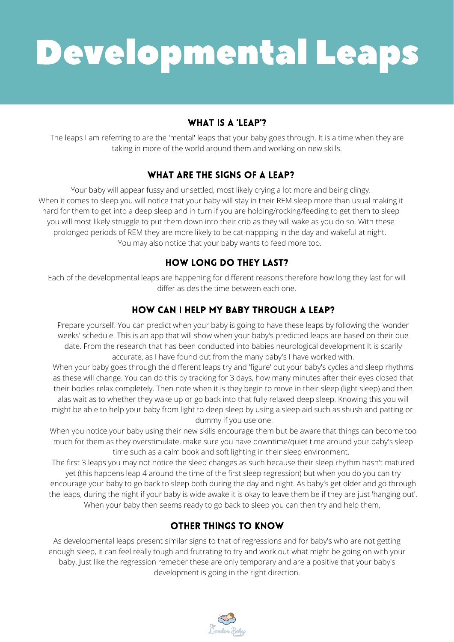## Developmental Leaps

#### **WHAT IS A 'LEAP'?**

Prepare yourself. You can predict when your baby is going to have these leaps by following the 'wonder weeks' schedule. This is an app that will show when your baby's predicted leaps are based on their due

date. From the research that has been conducted into babies neurological development It is scarily accurate, as I have found out from the many baby's I have worked with.

When your baby goes through the different leaps try and 'figure' out your baby's cycles and sleep rhythms as these will change. You can do this by tracking for 3 days, how many minutes after their eyes closed that their bodies relax completely. Then note when it is they begin to move in their sleep (light sleep) and then alas wait as to whether they wake up or go back into that fully relaxed deep sleep. Knowing this you will might be able to help your baby from light to deep sleep by using a sleep aid such as shush and patting or dummy if you use one.

The leaps I am referring to are the 'mental' leaps that your baby goes through. It is a time when they are taking in more of the world around them and working on new skills.

#### **WHAT ARE THE SIGNS OF A LEAP?**

When you notice your baby using their new skills encourage them but be aware that things can become too much for them as they overstimulate, make sure you have downtime/quiet time around your baby's sleep time such as a calm book and soft lighting in their sleep environment.

The first 3 leaps you may not notice the sleep changes as such because their sleep rhythm hasn't matured yet (this happens leap 4 around the time of the first sleep regression) but when you do you can try encourage your baby to go back to sleep both during the day and night. As baby's get older and go through the leaps, during the night if your baby is wide awake it is okay to leave them be if they are just 'hanging out'. When your baby then seems ready to go back to sleep you can then try and help them,

#### **OTHER THINGS TO KNOW**

Your baby will appear fussy and unsettled, most likely crying a lot more and being clingy. When it comes to sleep you will notice that your baby will stay in their REM sleep more than usual making it hard for them to get into a deep sleep and in turn if you are holding/rocking/feeding to get them to sleep you will most likely struggle to put them down into their crib as they will wake as you do so. With these prolonged periods of REM they are more likely to be cat-nappping in the day and wakeful at night. You may also notice that your baby wants to feed more too.

#### **HOW LONG DO THEY LAST?**

Each of the developmental leaps are happening for different reasons therefore how long they last for will differ as des the time between each one.

#### **HOW CAN I HELP MY BABY THROUGH A LEAP?**

As developmental leaps present similar signs to that of regressions and for baby's who are not getting enough sleep, it can feel really tough and frutrating to try and work out what might be going on with your baby. Just like the regression remeber these are only temporary and are a positive that your baby's development is going in the right direction.

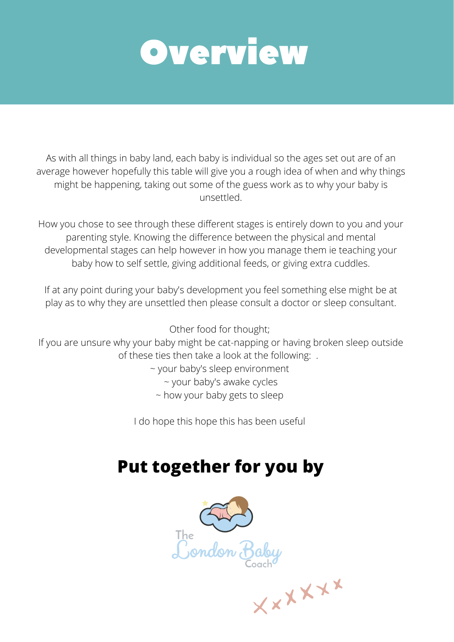### OVerview

As with all things in baby land, each baby is individual so the ages set out are of an average however hopefully this table will give you a rough idea of when and why things might be happening, taking out some of the guess work as to why your baby is unsettled.

If at any point during your baby's development you feel something else might be at play as to why they are unsettled then please consult a doctor or sleep consultant.

How you chose to see through these different stages is entirely down to you and your parenting style. Knowing the difference between the physical and mental developmental stages can help however in how you manage them ie teaching your baby how to self settle, giving additional feeds, or giving extra cuddles.

If you are unsure why your baby might be cat-napping or having broken sleep outside of these ties then take a look at the following: .

Other food for thought;

- ~ your baby's sleep environment
	- ~ your baby's awake cycles
	- ~ how your baby gets to sleep

I do hope this hope this has been useful

### **Put together for you by**